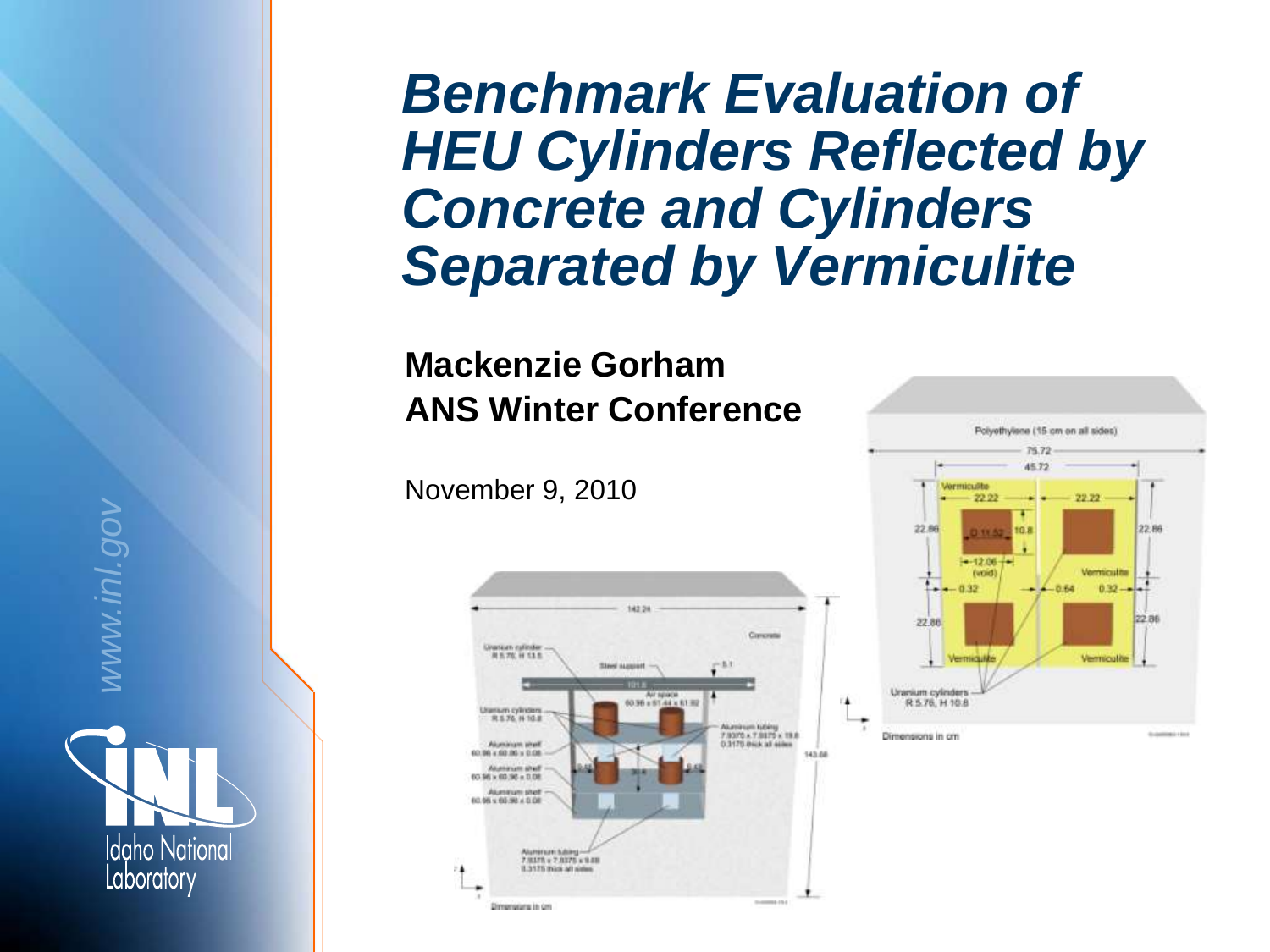# *Benchmark Evaluation of HEU Cylinders Reflected by Concrete and Cylinders Separated by Vermiculite*

#### **Mackenzie Gorham ANS Winter Conference**

November 9, 2010





**Idaho National** Laboratory

*www.inl.gov*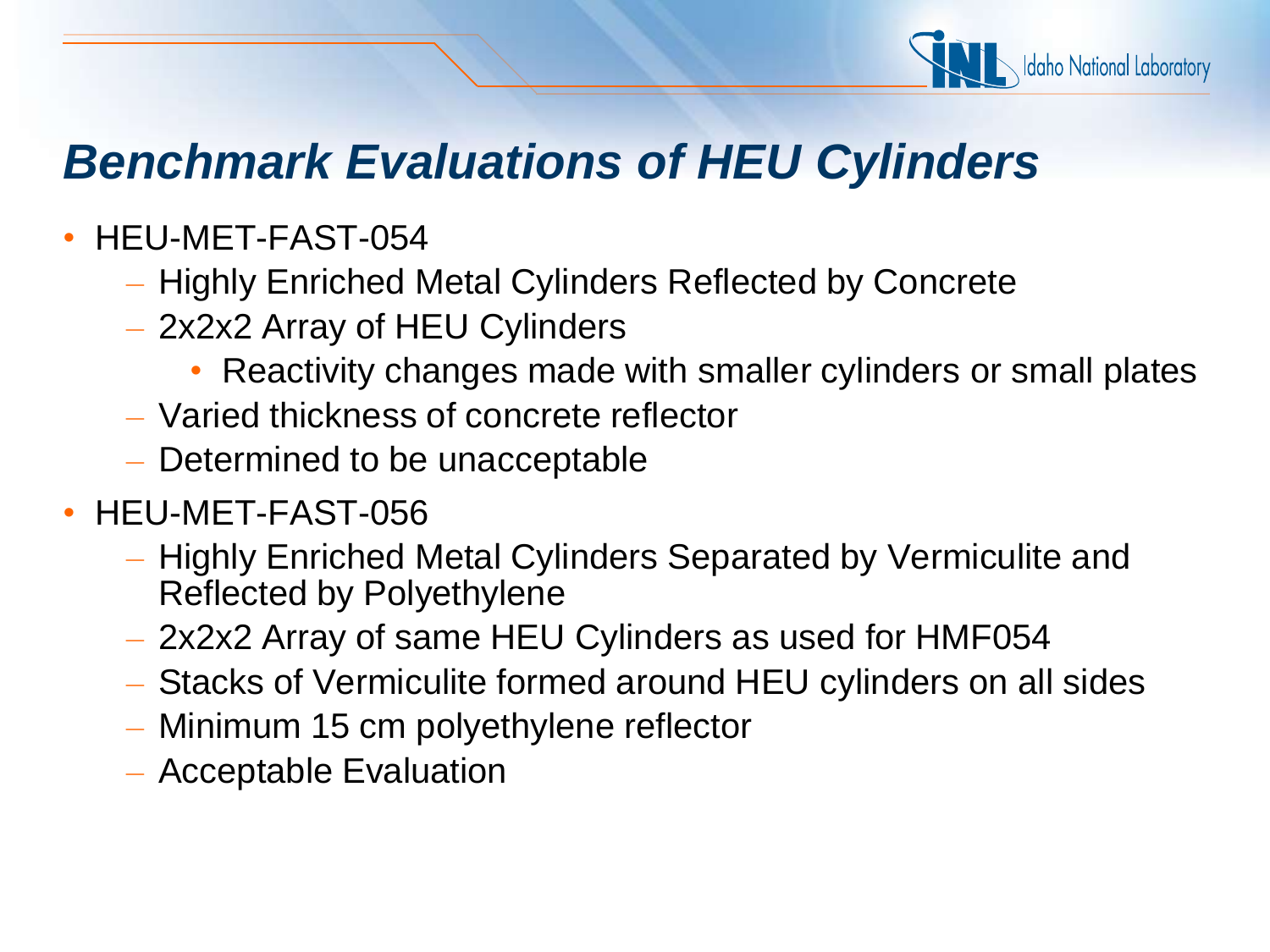

# *Benchmark Evaluations of HEU Cylinders*

- HEU-MET-FAST-054
	- Highly Enriched Metal Cylinders Reflected by Concrete
	- 2x2x2 Array of HEU Cylinders
		- Reactivity changes made with smaller cylinders or small plates
	- Varied thickness of concrete reflector
	- Determined to be unacceptable
- HEU-MET-FAST-056
	- Highly Enriched Metal Cylinders Separated by Vermiculite and Reflected by Polyethylene
	- 2x2x2 Array of same HEU Cylinders as used for HMF054
	- Stacks of Vermiculite formed around HEU cylinders on all sides
	- Minimum 15 cm polyethylene reflector
	- Acceptable Evaluation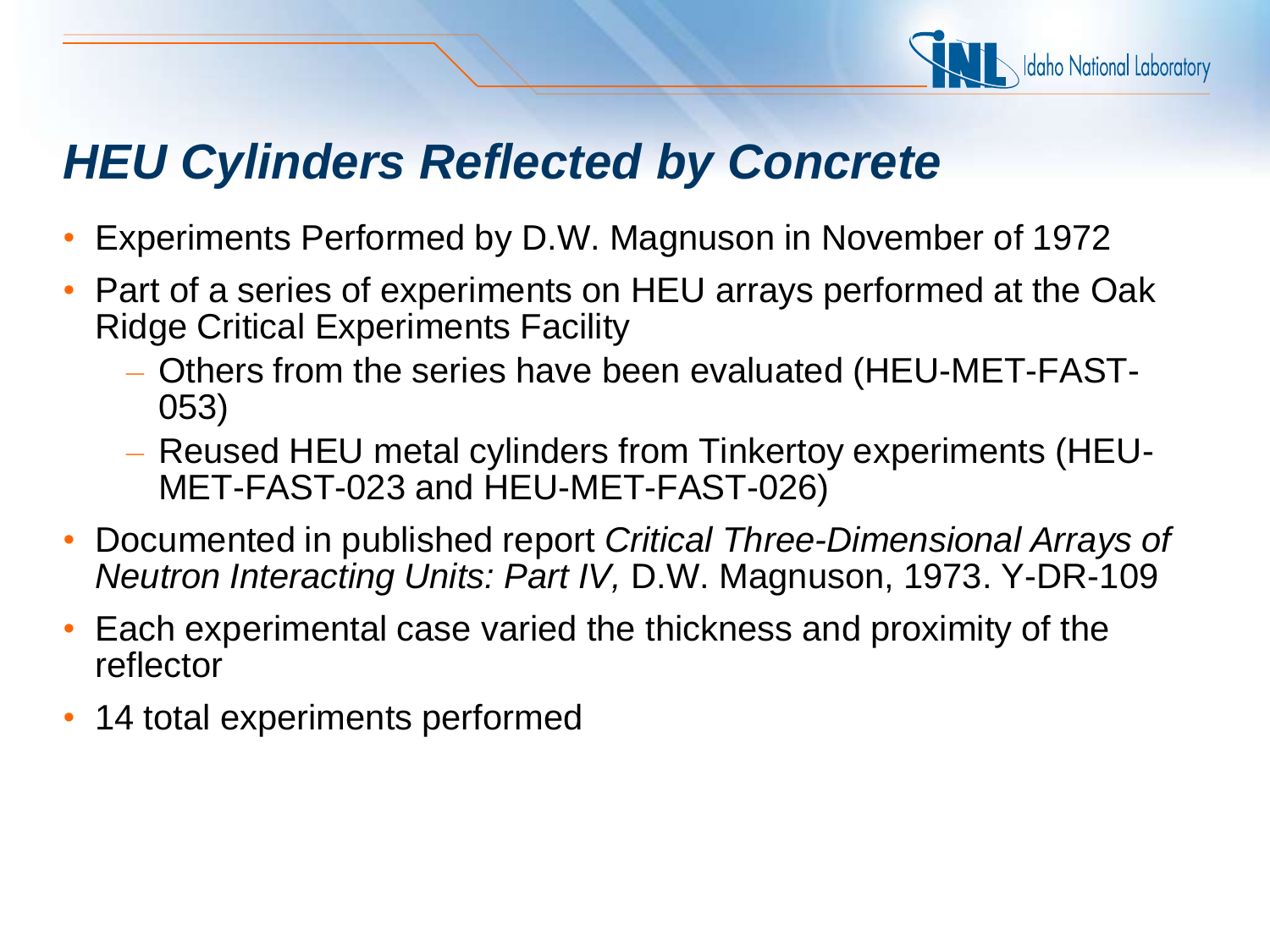

#### *HEU Cylinders Reflected by Concrete*

- Experiments Performed by D.W. Magnuson in November of 1972
- Part of a series of experiments on HEU arrays performed at the Oak Ridge Critical Experiments Facility
	- Others from the series have been evaluated (HEU-MET-FAST-053)
	- Reused HEU metal cylinders from Tinkertoy experiments (HEU-MET-FAST-023 and HEU-MET-FAST-026)
- Documented in published report *Critical Three-Dimensional Arrays of Neutron Interacting Units: Part IV,* D.W. Magnuson, 1973. Y-DR-109
- Each experimental case varied the thickness and proximity of the reflector
- 14 total experiments performed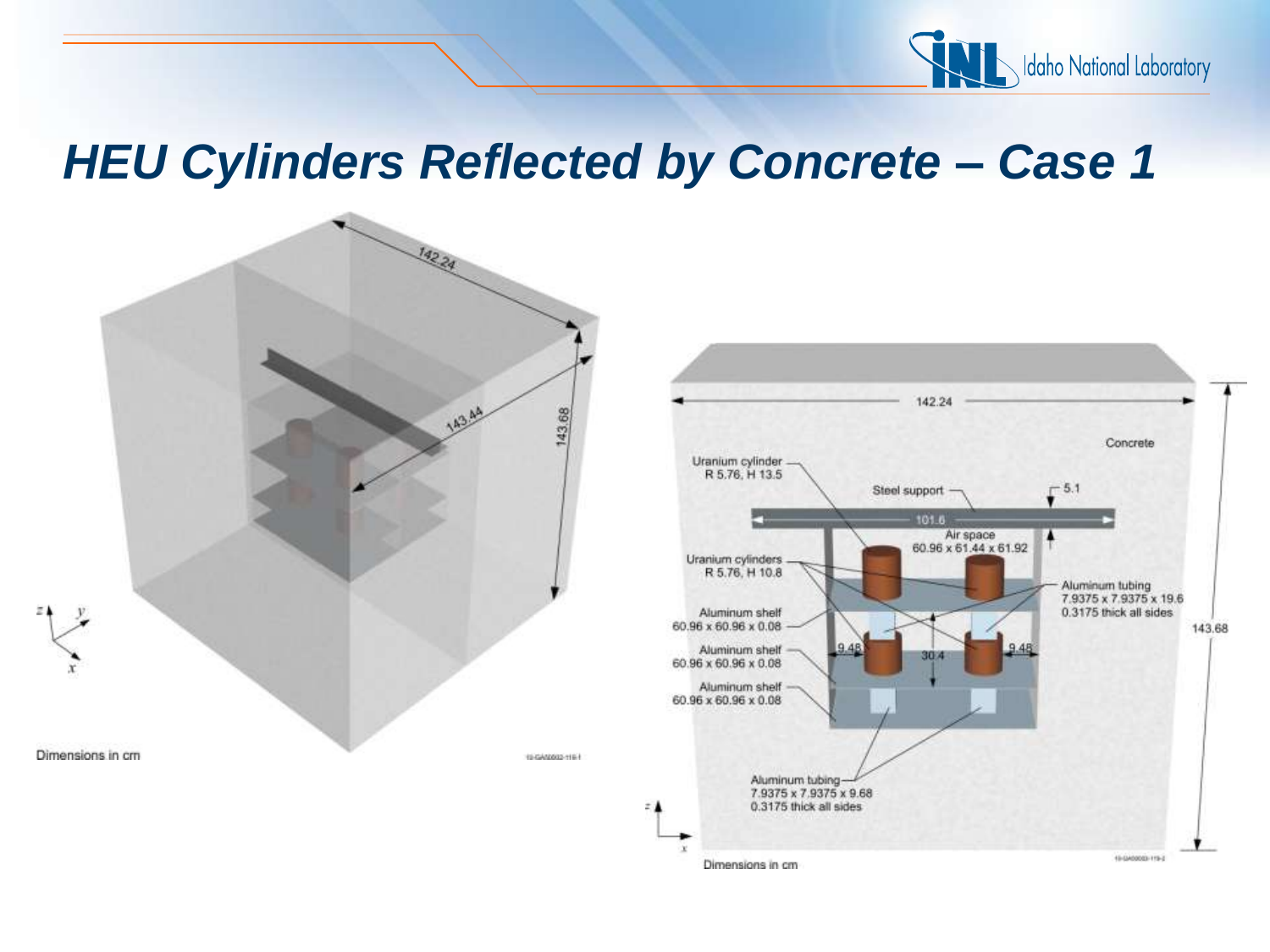

#### *HEU Cylinders Reflected by Concrete – Case 1*



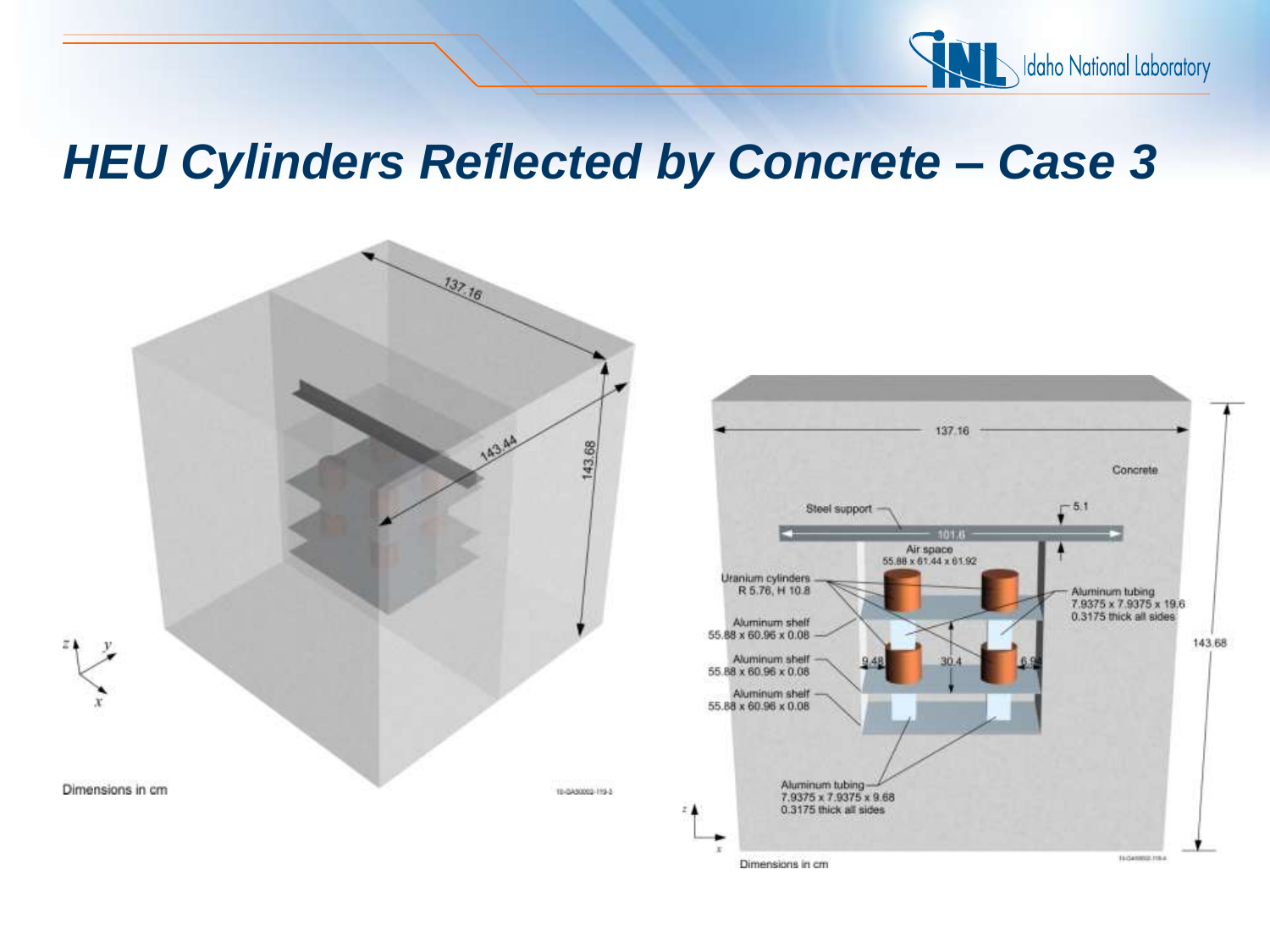

#### *HEU Cylinders Reflected by Concrete – Case 3*



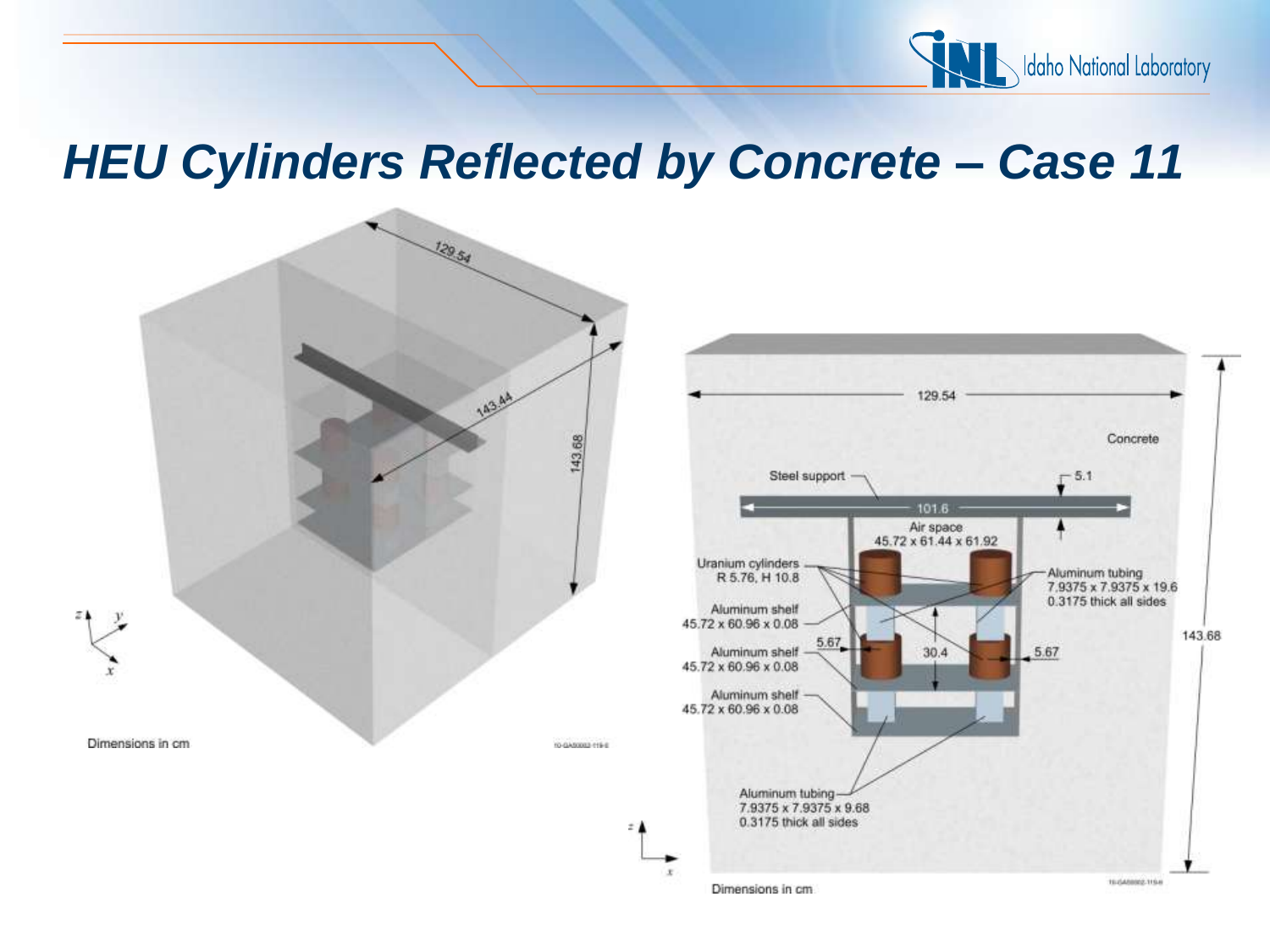

#### *HEU Cylinders Reflected by Concrete – Case 11*



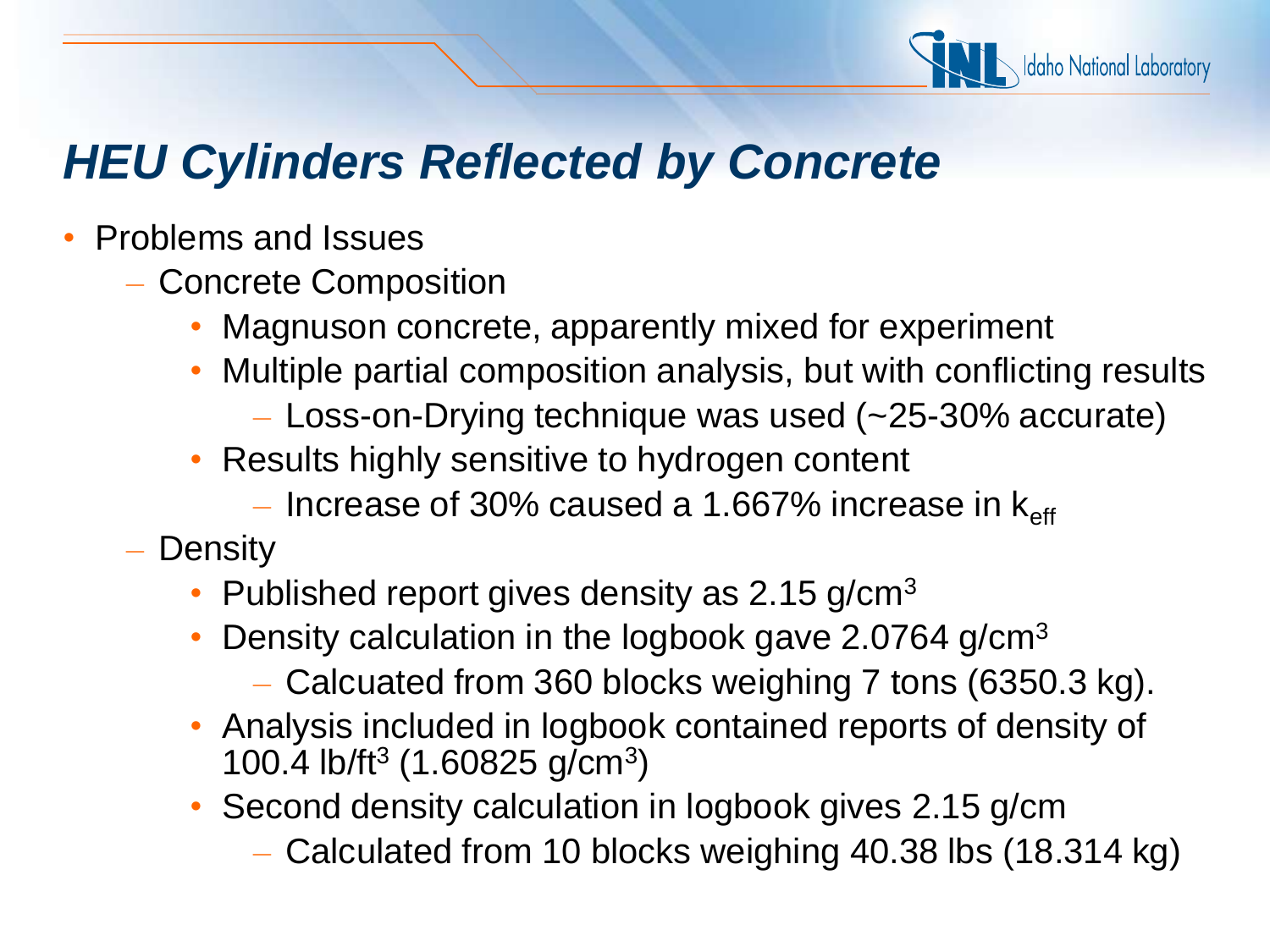

# *HEU Cylinders Reflected by Concrete*

- Problems and Issues
	- Concrete Composition
		- Magnuson concrete, apparently mixed for experiment
		- Multiple partial composition analysis, but with conflicting results
			- Loss-on-Drying technique was used (~25-30% accurate)
		- Results highly sensitive to hydrogen content
			- Increase of 30% caused a 1.667% increase in  $k_{\text{eff}}$
	- Density
		- Published report gives density as 2.15 g/cm<sup>3</sup>
		- Density calculation in the logbook gave 2.0764 g/cm<sup>3</sup>
			- Calcuated from 360 blocks weighing 7 tons (6350.3 kg).
		- Analysis included in logbook contained reports of density of 100.4 lb/ft<sup>3</sup> (1.60825 g/cm<sup>3</sup>)
		- Second density calculation in logbook gives 2.15 g/cm
			- Calculated from 10 blocks weighing 40.38 lbs (18.314 kg)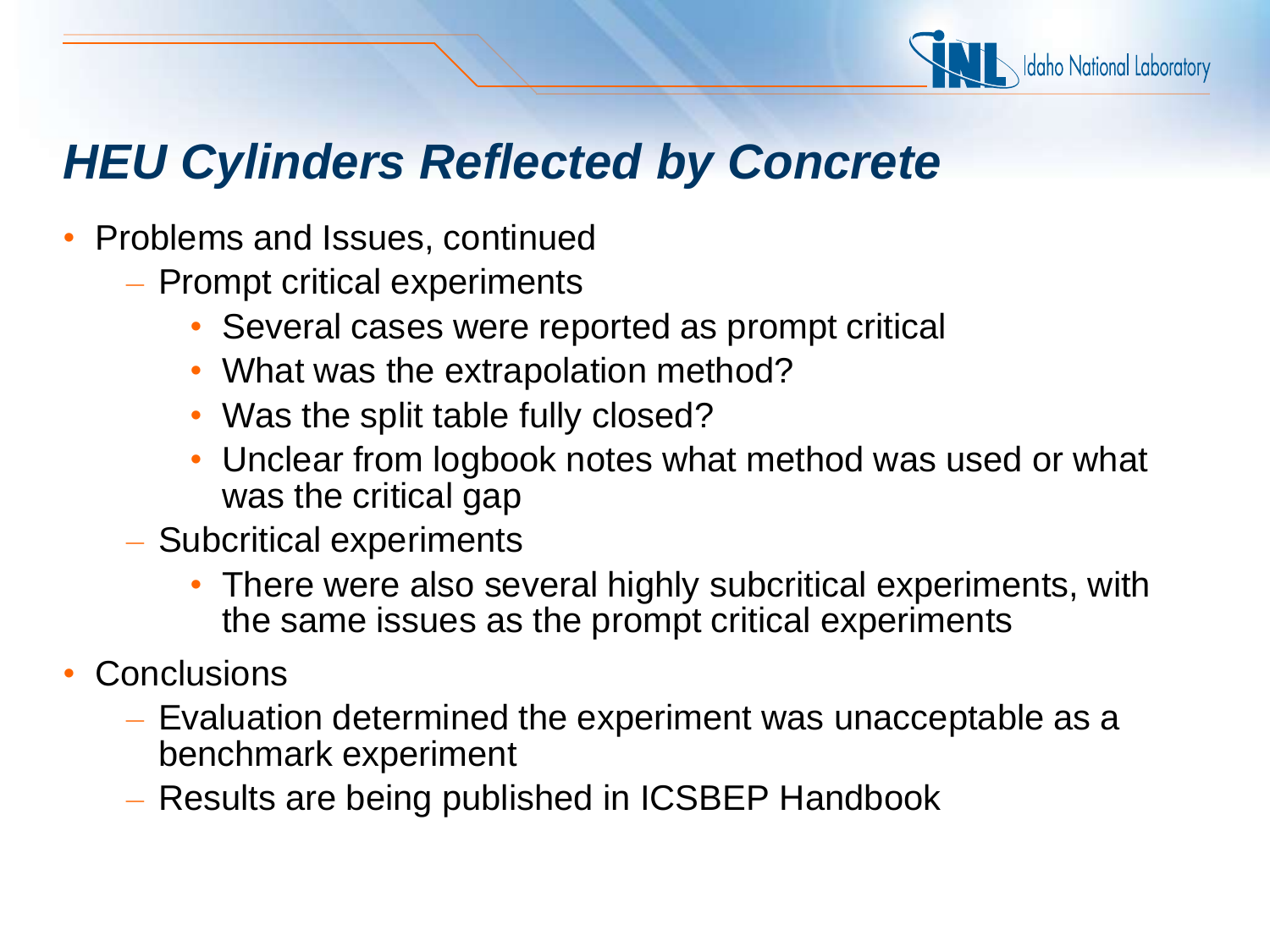

## *HEU Cylinders Reflected by Concrete*

- Problems and Issues, continued
	- Prompt critical experiments
		- Several cases were reported as prompt critical
		- What was the extrapolation method?
		- Was the split table fully closed?
		- Unclear from logbook notes what method was used or what was the critical gap
	- Subcritical experiments
		- There were also several highly subcritical experiments, with the same issues as the prompt critical experiments
- **Conclusions** 
	- Evaluation determined the experiment was unacceptable as a benchmark experiment
	- Results are being published in ICSBEP Handbook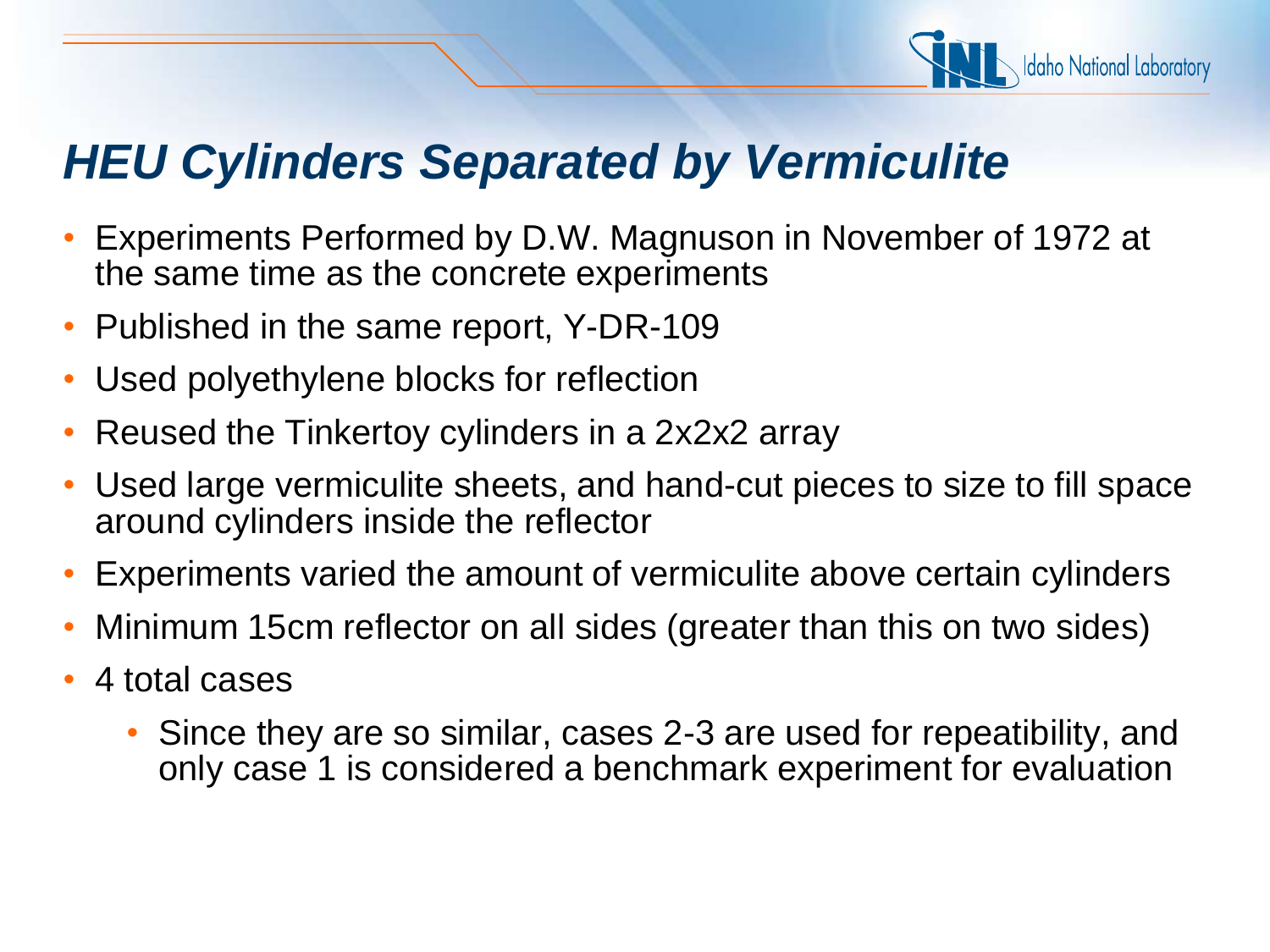

- Experiments Performed by D.W. Magnuson in November of 1972 at the same time as the concrete experiments
- Published in the same report, Y-DR-109
- Used polyethylene blocks for reflection
- Reused the Tinkertoy cylinders in a 2x2x2 array
- Used large vermiculite sheets, and hand-cut pieces to size to fill space around cylinders inside the reflector
- Experiments varied the amount of vermiculite above certain cylinders
- Minimum 15cm reflector on all sides (greater than this on two sides)
- 4 total cases
	- Since they are so similar, cases 2-3 are used for repeatibility, and only case 1 is considered a benchmark experiment for evaluation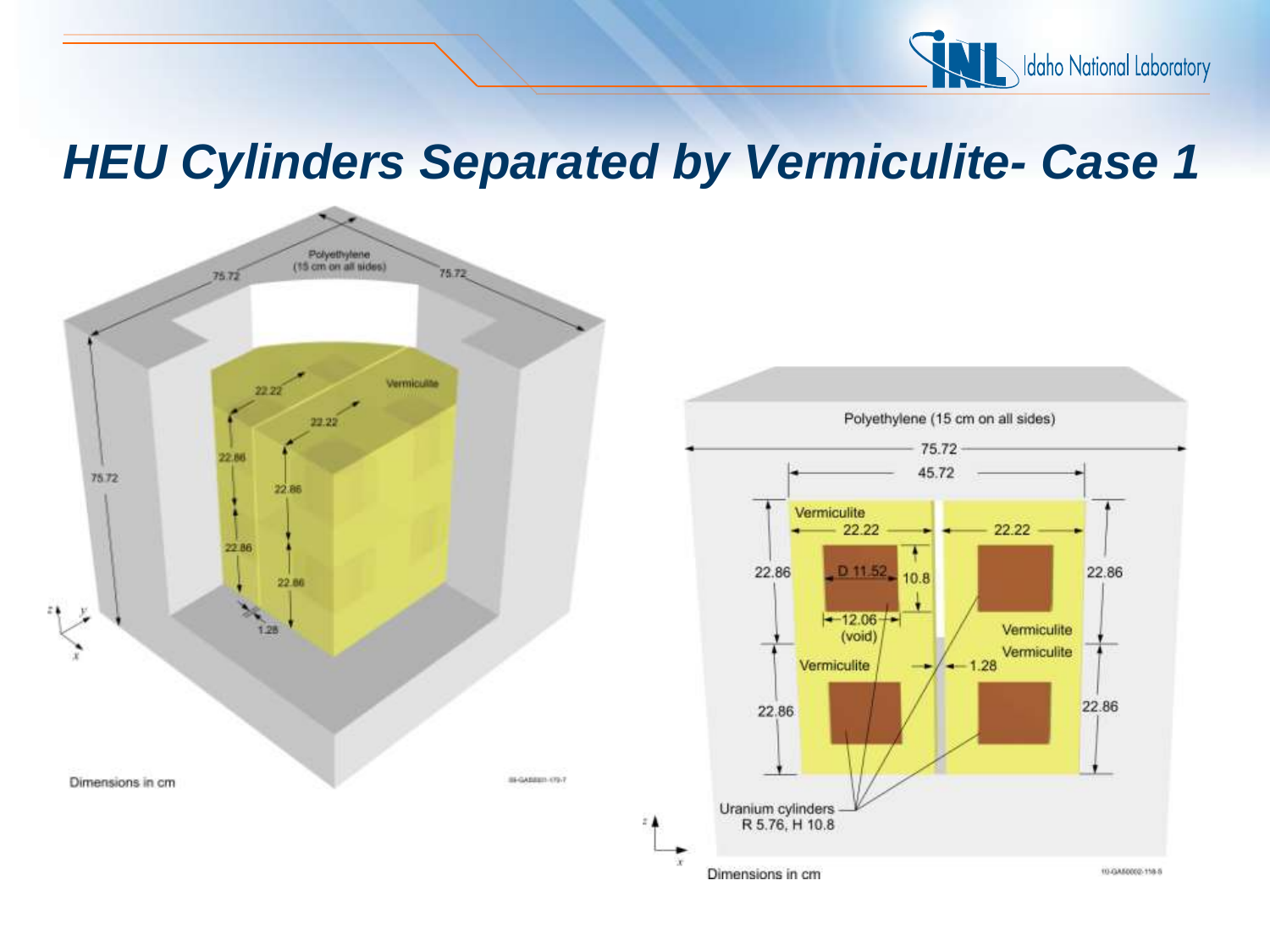



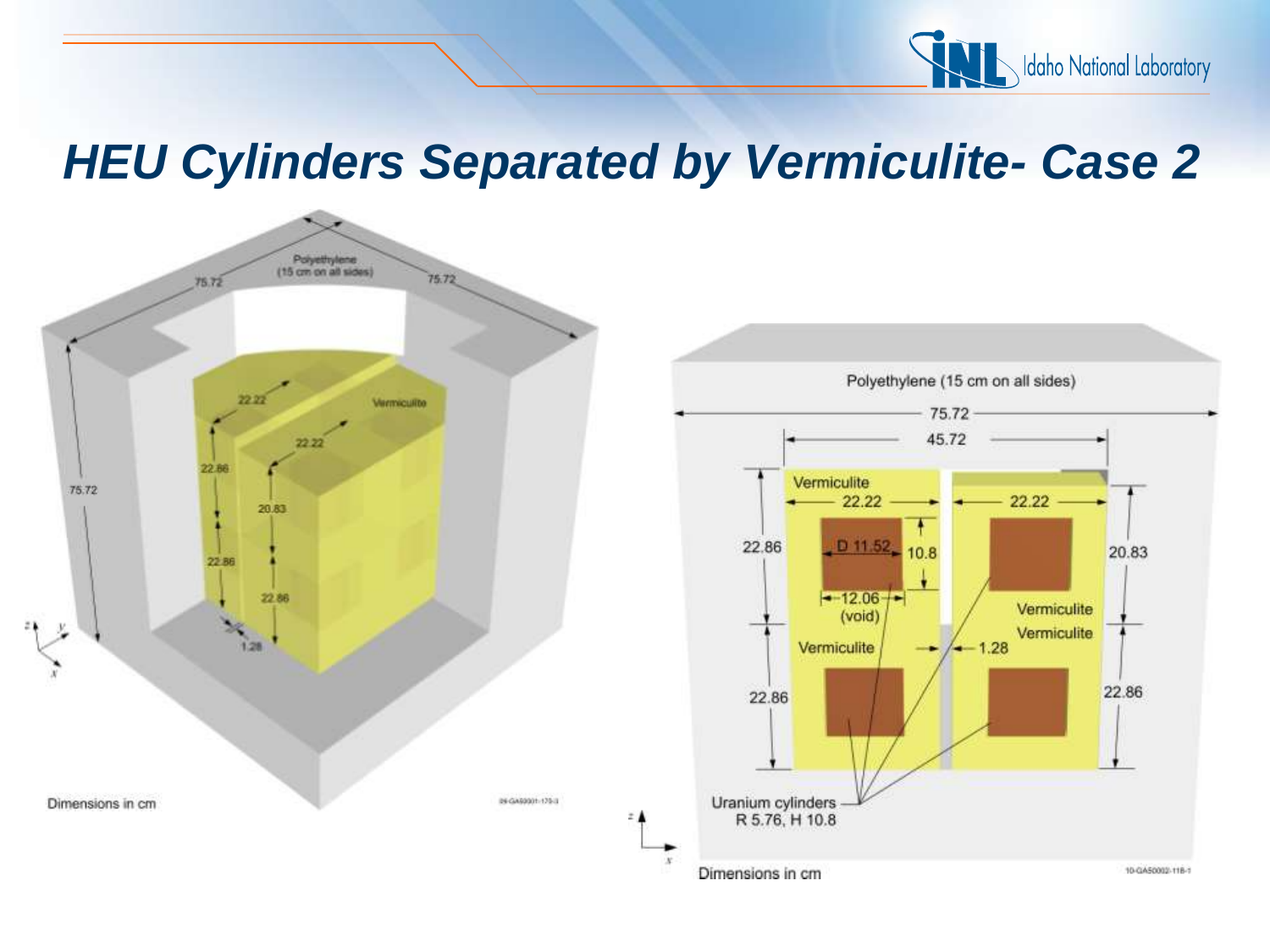



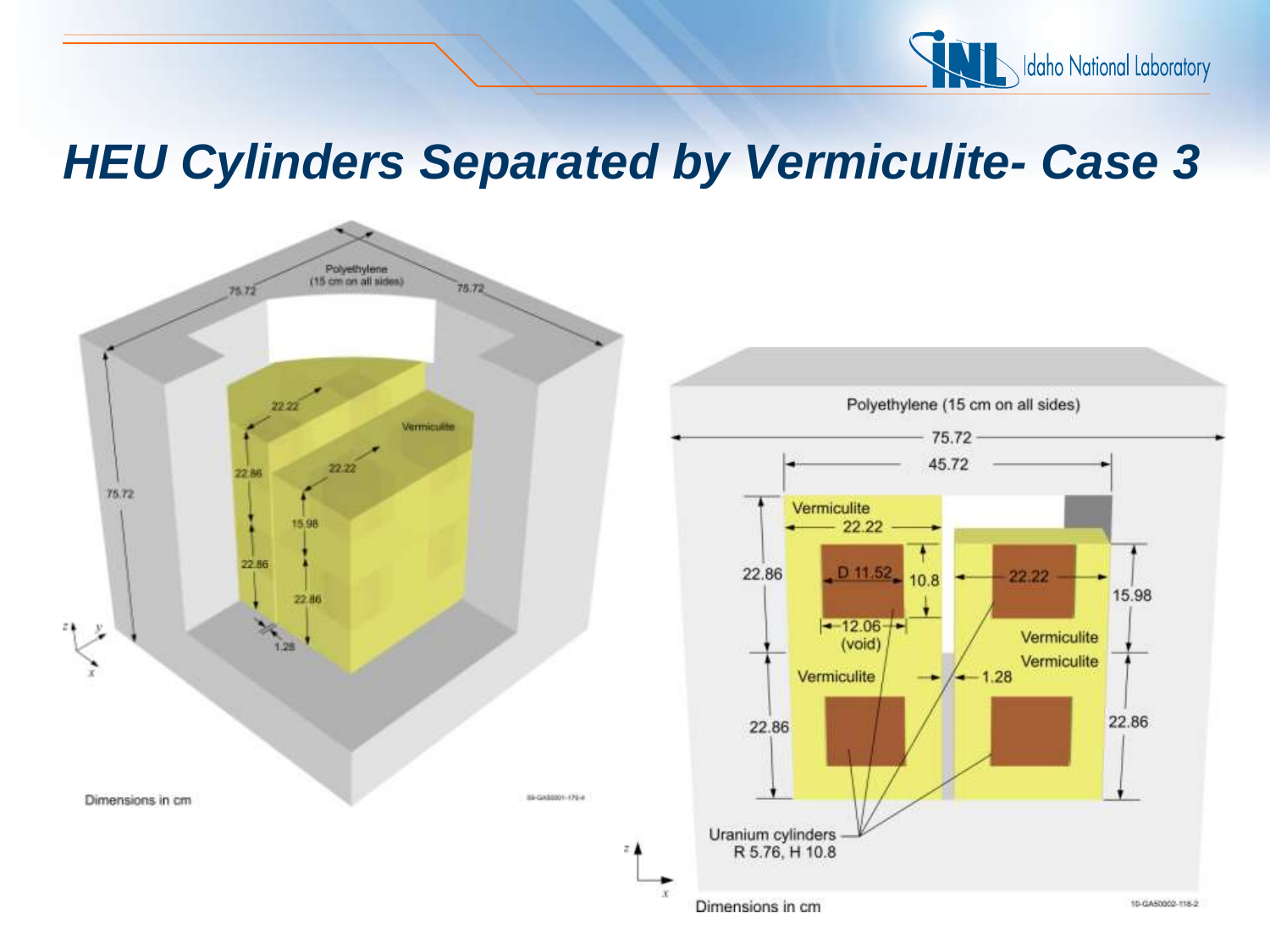



10-GA50002-118-2

15.98

22.86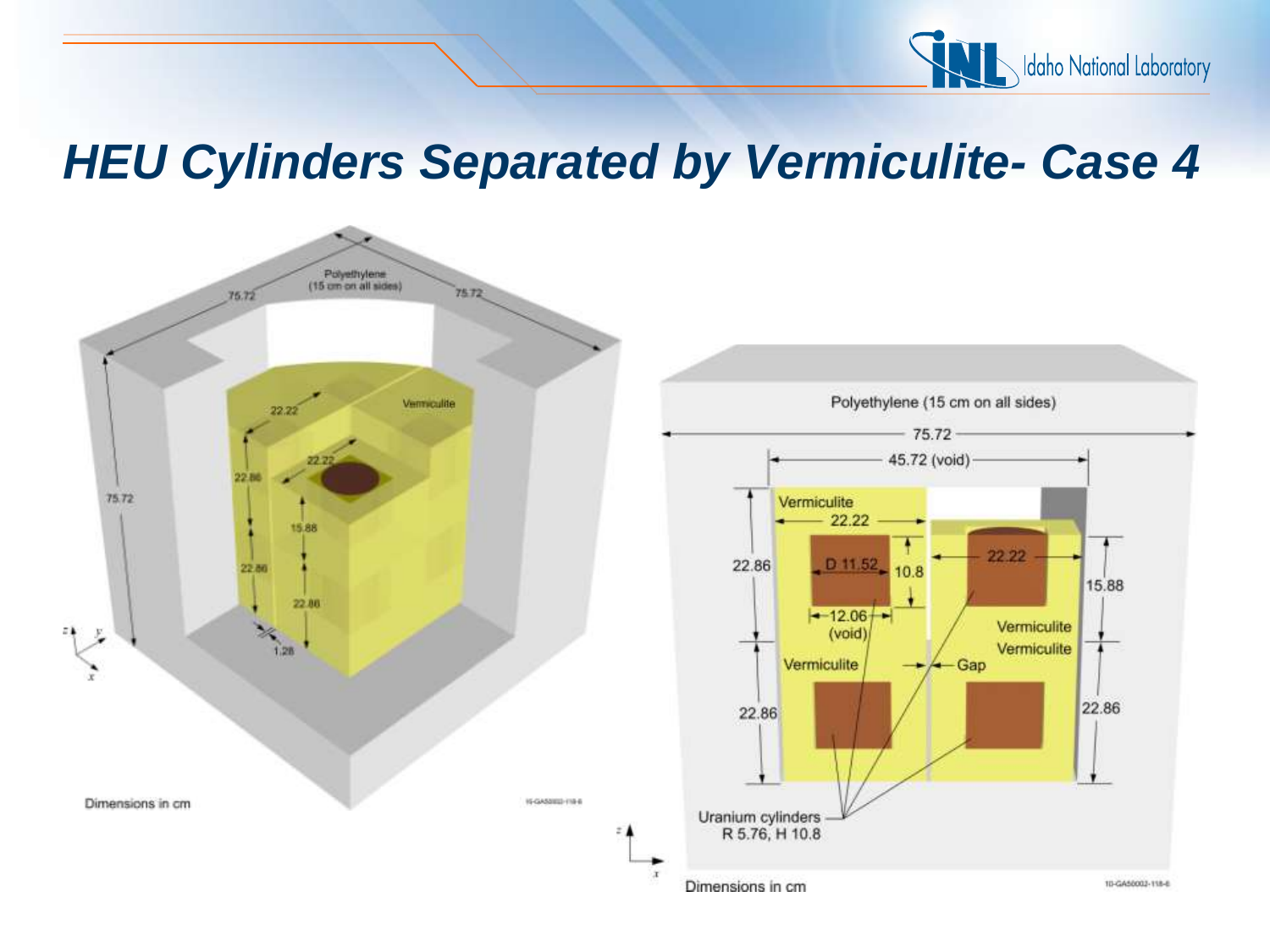

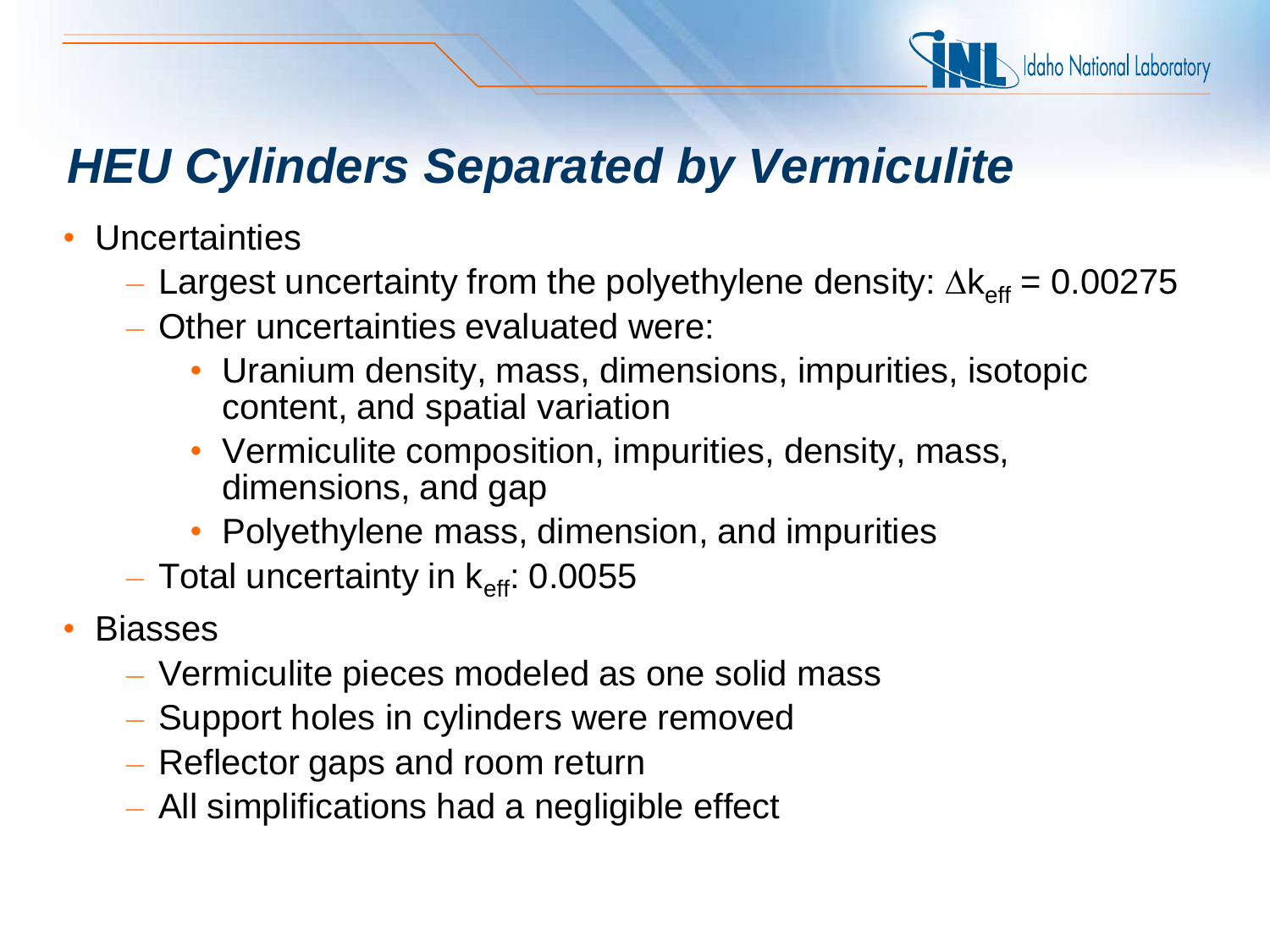

- Uncertainties
	- Largest uncertainty from the polyethylene density:  $\Delta k_{\text{eff}} = 0.00275$
	- Other uncertainties evaluated were:
		- Uranium density, mass, dimensions, impurities, isotopic content, and spatial variation
		- Vermiculite composition, impurities, density, mass, dimensions, and gap
		- Polyethylene mass, dimension, and impurities
	- Total uncertainty in  $k_{\text{eff}}$ : 0.0055
- **Biasses** 
	- Vermiculite pieces modeled as one solid mass
	- Support holes in cylinders were removed
	- Reflector gaps and room return
	- All simplifications had a negligible effect